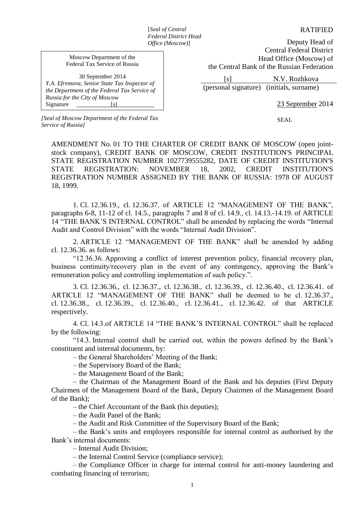[*Seal of Central Federal District Head Office (Moscow)*]

RATIFIED

Deputy Head of Central Federal District Head Office (Moscow) of the Central Bank of the Russian Federation

 [s] N.V. Rozhkova (personal signature) (initials, surname)

23 September 2014

SEAL

Moscow Department of the Federal Tax Service of Russia

30 September 2014 *Y.A. Efremova, Senior State Tax Inspector of the Department of the Federal Tax Service of Russia for the City of Moscow* Signature [*s*]

*[Seal of Moscow Department of the Federal Tax Service of Russia]*

AMENDMENT No. 01 TO THE CHARTER OF CREDIT BANK OF MOSCOW (open jointstock company), CREDIT BANK OF MOSCOW, CREDIT INSTITUTION'S PRINCIPAL STATE REGISTRATION NUMBER 1027739555282, DATE OF CREDIT INSTITUTION'S STATE REGISTRATION: NOVEMBER 18, 2002, CREDIT INSTITUTION'S REGISTRATION NUMBER ASSIGNED BY THE BANK OF RUSSIA: 1978 OF AUGUST 18, 1999.

1. Cl. 12.36.19., cl. 12.36.37. of ARTICLE 12 "MANAGEMENT OF THE BANK", paragraphs 6-8, 11-12 of cl. 14.5., paragraphs 7 and 8 of cl. 14.9., cl. 14.13.-14.19. of ARTICLE 14 "THE BANK'S INTERNAL CONTROL" shall be amended by replacing the words "Internal Audit and Control Division" with the words "Internal Audit Division".

2. ARTICLE 12 "MANAGEMENT OF THE BANK" shall be amended by adding cl. 12.36.36. as follows:

"12.36.36. Approving a conflict of interest prevention policy, financial recovery plan, business continuity/recovery plan in the event of any contingency, approving the Bank's remuneration policy and controlling implementation of such policy.".

3. Cl. 12.36.36., cl. 12.36.37., cl. 12.36.38., cl. 12.36.39., cl. 12.36.40., cl. 12.36.41. of ARTICLE 12 "MANAGEMENT OF THE BANK" shall be deemed to be cl. 12.36.37., cl. 12.36.38., cl. 12.36.39., cl. 12.36.40., cl. 12.36.41., cl. 12.36.42. of that ARTICLE respectively.

4. Cl. 14.3.of ARTICLE 14 "THE BANK'S INTERNAL CONTROL" shall be replaced by the following:

"14.3. Internal control shall be carried out, within the powers defined by the Bank's constituent and internal documents, by:

– the General Shareholders' Meeting of the Bank;

– the Supervisory Board of the Bank;

– the Management Board of the Bank;

– the Chairman of the Management Board of the Bank and his deputies (First Deputy Chairmen of the Management Board of the Bank, Deputy Chairmen of the Management Board of the Bank);

– the Chief Accountant of the Bank (his deputies);

– the Audit Panel of the Bank;

– the Audit and Risk Committee of the Supervisory Board of the Bank;

– the Bank's units and employees responsible for internal control as authorised by the Bank's internal documents:

– Internal Audit Division;

– the Internal Control Service (compliance service);

– the Compliance Officer in charge for internal control for anti-money laundering and combating financing of terrorism;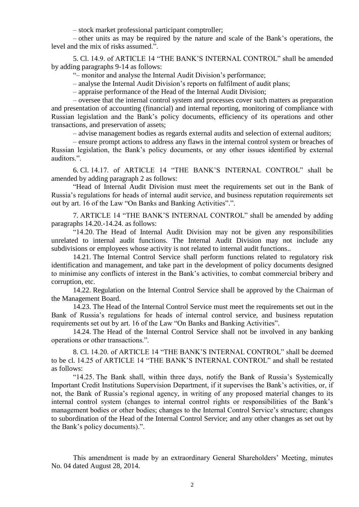– stock market professional participant comptroller;

– other units as may be required by the nature and scale of the Bank's operations, the level and the mix of risks assumed.".

5. Cl. 14.9. of ARTICLE 14 "THE BANK'S INTERNAL CONTROL" shall be amended by adding paragraphs 9-14 as follows:

"– monitor and analyse the Internal Audit Division's performance;

– analyse the Internal Audit Division's reports on fulfilment of audit plans;

– appraise performance of the Head of the Internal Audit Division;

– oversee that the internal control system and processes cover such matters as preparation and presentation of accounting (financial) and internal reporting, monitoring of compliance with Russian legislation and the Bank's policy documents, efficiency of its operations and other transactions, and preservation of assets;

– advise management bodies as regards external audits and selection of external auditors;

– ensure prompt actions to address any flaws in the internal control system or breaches of Russian legislation, the Bank's policy documents, or any other issues identified by external auditors.".

6. Cl. 14.17. of ARTICLE 14 "THE BANK'S INTERNAL CONTROL" shall be amended by adding paragraph 2 as follows:

"Head of Internal Audit Division must meet the requirements set out in the Bank of Russia's regulations for heads of internal audit service, and business reputation requirements set out by art. 16 of the Law "On Banks and Banking Activities".".

7. ARTICLE 14 "THE BANK'S INTERNAL CONTROL" shall be amended by adding paragraphs 14.20.-14.24. as follows:

"14.20. The Head of Internal Audit Division may not be given any responsibilities unrelated to internal audit functions. The Internal Audit Division may not include any subdivisions or employees whose activity is not related to internal audit functions..

14.21. The Internal Control Service shall perform functions related to regulatory risk identification and management, and take part in the development of policy documents designed to minimise any conflicts of interest in the Bank's activities, to combat commercial bribery and corruption, etc.

14.22. Regulation on the Internal Control Service shall be approved by the Chairman of the Management Board.

14.23. The Head of the Internal Control Service must meet the requirements set out in the Bank of Russia's regulations for heads of internal control service, and business reputation requirements set out by art. 16 of the Law "On Banks and Banking Activities".

14.24. The Head of the Internal Control Service shall not be involved in any banking operations or other transactions.".

8. Cl. 14.20. of ARTICLE 14 "THE BANK'S INTERNAL CONTROL" shall be deemed to be cl. 14.25 of ARTICLE 14 "THE BANK'S INTERNAL CONTROL" and shall be restated as follows:

"14.25. The Bank shall, within three days, notify the Bank of Russia's Systemically Important Credit Institutions Supervision Department, if it supervises the Bank's activities, or, if not, the Bank of Russia's regional agency, in writing of any proposed material changes to its internal control system (changes to internal control rights or responsibilities of the Bank's management bodies or other bodies; changes to the Internal Control Service's structure; changes to subordination of the Head of the Internal Control Service; and any other changes as set out by the Bank's policy documents).".

This amendment is made by an extraordinary General Shareholders' Meeting, minutes No. 04 dated August 28, 2014.